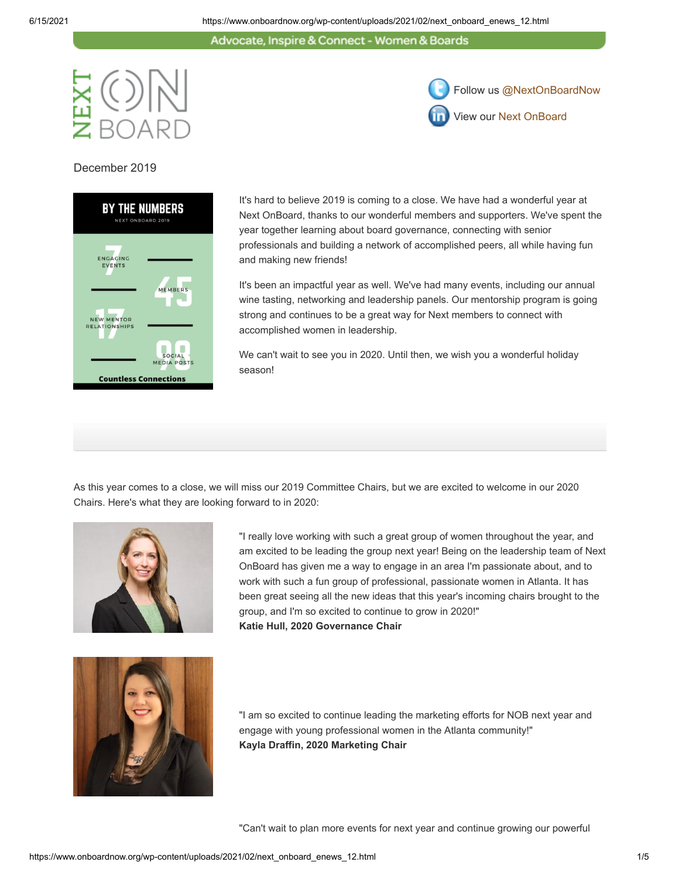Advocate, Inspire & Connect - Women & Boards



December 2019



It's hard to believe 2019 is coming to a close. We have had a wonderful year at Next OnBoard, thanks to our wonderful members and supporters. We've spent the year together learning about board governance, connecting with senior professionals and building a network of accomplished peers, all while having fun and making new friends!

Follow us [@NextOnBoardNow](https://twitter.com/NextOnBoardNow)

View our [Next OnBoard](https://www.linkedin.com/groups/7475689/profile)

It's been an impactful year as well. We've had many events, including our annual wine tasting, networking and leadership panels. Our mentorship program is going strong and continues to be a great way for Next members to connect with accomplished women in leadership.

We can't wait to see you in 2020. Until then, we wish you a wonderful holiday season!

As this year comes to a close, we will miss our 2019 Committee Chairs, but we are excited to welcome in our 2020 Chairs. Here's what they are looking forward to in 2020:



"I really love working with such a great group of women throughout the year, and am excited to be leading the group next year! Being on the leadership team of Next OnBoard has given me a way to engage in an area I'm passionate about, and to work with such a fun group of professional, passionate women in Atlanta. It has been great seeing all the new ideas that this year's incoming chairs brought to the group, and I'm so excited to continue to grow in 2020!" **Katie Hull, 2020 Governance Chair**



"I am so excited to continue leading the marketing efforts for NOB next year and engage with young professional women in the Atlanta community!" **Kayla Draffin, 2020 Marketing Chair**

"Can't wait to plan more events for next year and continue growing our powerful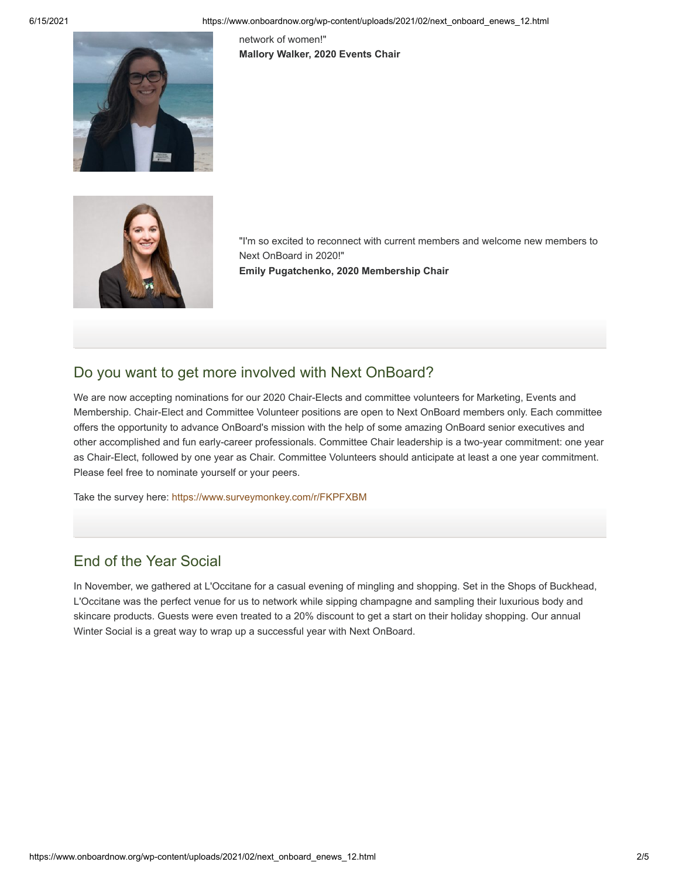network of women!" **Mallory Walker, 2020 Events Chair**





"I'm so excited to reconnect with current members and welcome new members to Next OnBoard in 2020!"

**Emily Pugatchenko, 2020 Membership Chair**

## Do you want to get more involved with Next OnBoard?

We are now accepting nominations for our 2020 Chair-Elects and committee volunteers for Marketing, Events and Membership. Chair-Elect and Committee Volunteer positions are open to Next OnBoard members only. Each committee offers the opportunity to advance OnBoard's mission with the help of some amazing OnBoard senior executives and other accomplished and fun early-career professionals. Committee Chair leadership is a two-year commitment: one year as Chair-Elect, followed by one year as Chair. Committee Volunteers should anticipate at least a one year commitment. Please feel free to nominate yourself or your peers.

Take the survey here: <https://www.surveymonkey.com/r/FKPFXBM>

## End of the Year Social

In November, we gathered at L'Occitane for a casual evening of mingling and shopping. Set in the Shops of Buckhead, L'Occitane was the perfect venue for us to network while sipping champagne and sampling their luxurious body and skincare products. Guests were even treated to a 20% discount to get a start on their holiday shopping. Our annual Winter Social is a great way to wrap up a successful year with Next OnBoard.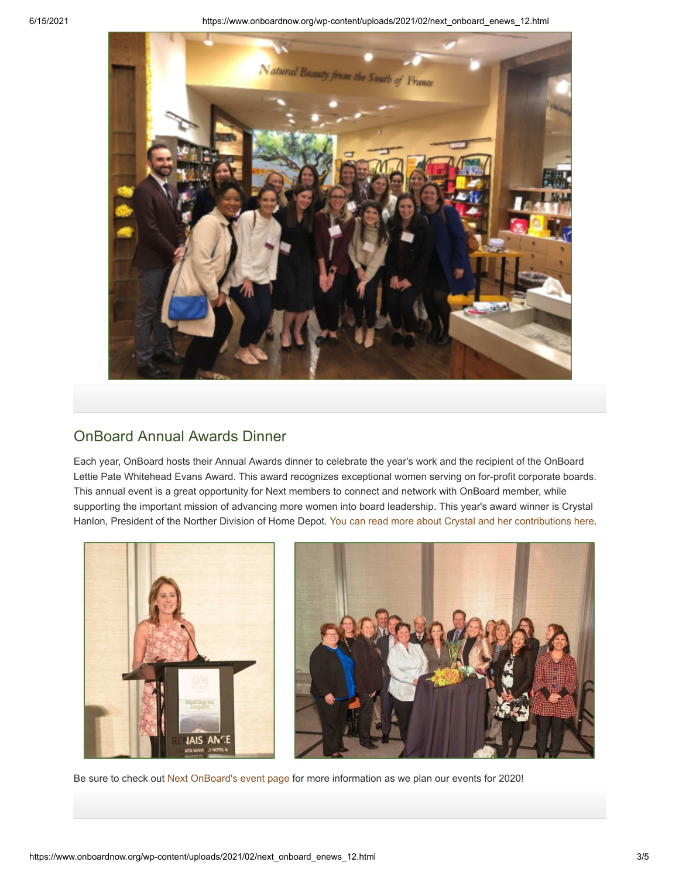6/15/2021 https://www.onboardnow.org/wp-content/uploads/2021/02/next\_onboard\_enews\_12.html



## OnBoard Annual Awards Dinner

Each year, OnBoard hosts their Annual Awards dinner to celebrate the year's work and the recipient of the OnBoard Lettie Pate Whitehead Evans Award. This award recognizes exceptional women serving on for-profit corporate boards. This annual event is a great opportunity for Next members to connect and network with OnBoard member, while supporting the important mission of advancing more women into board leadership. This year's award winner is Crystal Hanlon, President of the Norther Division of Home Depot. [You can read more about Crystal and her contributions here.](https://www.onboardnow.org/wp-content/uploads/2019/05/HANLON-Crystal-Bio-09-2015-002.pdf)



Be sure to check out [Next OnBoard's event page](https://www.onboardnow.org/news-events/events/) for more information as we plan our events for 2020!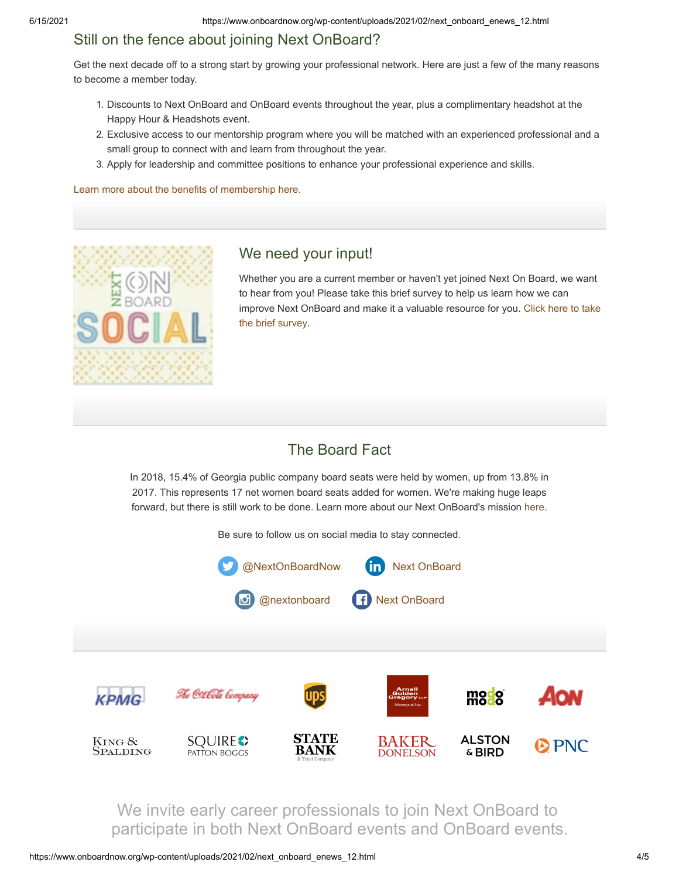# Still on the fence about joining Next OnBoard?

Get the next decade off to a strong start by growing your professional network. Here are just a few of the many reasons to become a member today.

- 1. Discounts to Next OnBoard and OnBoard events throughout the year, plus a complimentary headshot at the Happy Hour & Headshots event.
- 2. Exclusive access to our mentorship program where you will be matched with an experienced professional and a small group to connect with and learn from throughout the year.
- 3. Apply for leadership and committee positions to enhance your professional experience and skills.

[Learn more about the benefits of membership here.](https://www.onboardnow.org/next-onboard/next-membership/)



## We need your input!

Whether you are a current member or haven't yet joined Next On Board, we want to hear from you! Please take this brief survey to help us learn how we can [improve Next OnBoard and make it a valuable resource for you. Click here to take](https://www.surveymonkey.com/survey-taken/?sm=m3xZOh4IRYXiSeZ8KlSWeEfYhrJOJ14uNsjwiwtjbc7oUuhDhu140vY8oJnR5yfDmBmjTRkvbkLJtcQG8hFDkrFBDQKrDap0a5Z_2BpBGvRpQ_3D) the brief survey.

## The Board Fact

In 2018, 15.4% of Georgia public company board seats were held by women, up from 13.8% in 2017. This represents 17 net women board seats added for women. We're making huge leaps forward, but there is still work to be done. Learn more about our Next OnBoard's mission [here](https://www.onboardnow.org/next-onboard/about-next-onboard/).

Be sure to follow us on social media to stay connected.



We invite early career professionals to join Next OnBoard to participate in both Next OnBoard events and OnBoard events.